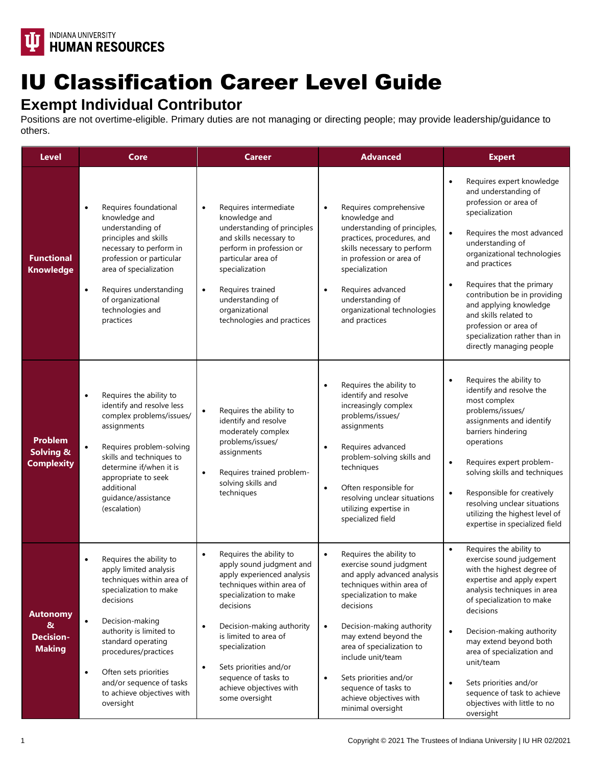

## IU Classification Career Level Guide

## **Exempt Individual Contributor**

Positions are not overtime-eligible. Primary duties are not managing or directing people; may provide leadership/guidance to others.

| <b>Level</b>                                              | Core                                                                                                                                                                                                                                                                                                                                        | <b>Career</b>                                                                                                                                                                                                                                                                                                                                                       | <b>Advanced</b>                                                                                                                                                                                                                                                                                                                                                                                        | <b>Expert</b>                                                                                                                                                                                                                                                                                                                                                                                                                               |
|-----------------------------------------------------------|---------------------------------------------------------------------------------------------------------------------------------------------------------------------------------------------------------------------------------------------------------------------------------------------------------------------------------------------|---------------------------------------------------------------------------------------------------------------------------------------------------------------------------------------------------------------------------------------------------------------------------------------------------------------------------------------------------------------------|--------------------------------------------------------------------------------------------------------------------------------------------------------------------------------------------------------------------------------------------------------------------------------------------------------------------------------------------------------------------------------------------------------|---------------------------------------------------------------------------------------------------------------------------------------------------------------------------------------------------------------------------------------------------------------------------------------------------------------------------------------------------------------------------------------------------------------------------------------------|
| <b>Functional</b><br><b>Knowledge</b>                     | Requires foundational<br>$\bullet$<br>knowledge and<br>understanding of<br>principles and skills<br>necessary to perform in<br>profession or particular<br>area of specialization<br>Requires understanding<br>$\bullet$<br>of organizational<br>technologies and<br>practices                                                              | Requires intermediate<br>$\bullet$<br>knowledge and<br>understanding of principles<br>and skills necessary to<br>perform in profession or<br>particular area of<br>specialization<br>Requires trained<br>$\bullet$<br>understanding of<br>organizational<br>technologies and practices                                                                              | Requires comprehensive<br>$\bullet$<br>knowledge and<br>understanding of principles,<br>practices, procedures, and<br>skills necessary to perform<br>in profession or area of<br>specialization<br>Requires advanced<br>$\bullet$<br>understanding of<br>organizational technologies<br>and practices                                                                                                  | Requires expert knowledge<br>$\bullet$<br>and understanding of<br>profession or area of<br>specialization<br>$\bullet$<br>Requires the most advanced<br>understanding of<br>organizational technologies<br>and practices<br>Requires that the primary<br>$\bullet$<br>contribution be in providing<br>and applying knowledge<br>and skills related to<br>profession or area of<br>specialization rather than in<br>directly managing people |
| <b>Problem</b><br>Solving &<br><b>Complexity</b>          | Requires the ability to<br>$\bullet$<br>identify and resolve less<br>complex problems/issues/<br>assignments<br>Requires problem-solving<br>skills and techniques to<br>determine if/when it is<br>appropriate to seek<br>additional<br>guidance/assistance<br>(escalation)                                                                 | Requires the ability to<br>identify and resolve<br>moderately complex<br>problems/issues/<br>assignments<br>Requires trained problem-<br>$\bullet$<br>solving skills and<br>techniques                                                                                                                                                                              | Requires the ability to<br>$\bullet$<br>identify and resolve<br>increasingly complex<br>problems/issues/<br>assignments<br>Requires advanced<br>$\bullet$<br>problem-solving skills and<br>techniques<br>Often responsible for<br>$\bullet$<br>resolving unclear situations<br>utilizing expertise in<br>specialized field                                                                             | Requires the ability to<br>$\bullet$<br>identify and resolve the<br>most complex<br>problems/issues/<br>assignments and identify<br>barriers hindering<br>operations<br>Requires expert problem-<br>$\bullet$<br>solving skills and techniques<br>Responsible for creatively<br>$\bullet$<br>resolving unclear situations<br>utilizing the highest level of<br>expertise in specialized field                                               |
| <b>Autonomy</b><br>&<br><b>Decision-</b><br><b>Making</b> | Requires the ability to<br>apply limited analysis<br>techniques within area of<br>specialization to make<br>decisions<br>$\bullet$<br>Decision-making<br>authority is limited to<br>standard operating<br>procedures/practices<br>Often sets priorities<br>$\bullet$<br>and/or sequence of tasks<br>to achieve objectives with<br>oversight | Requires the ability to<br>$\bullet$<br>apply sound judgment and<br>apply experienced analysis<br>techniques within area of<br>specialization to make<br>decisions<br>Decision-making authority<br>$\bullet$<br>is limited to area of<br>specialization<br>Sets priorities and/or<br>$\bullet$<br>sequence of tasks to<br>achieve objectives with<br>some oversight | Requires the ability to<br>$\bullet$<br>exercise sound judgment<br>and apply advanced analysis<br>techniques within area of<br>specialization to make<br>decisions<br>Decision-making authority<br>$\bullet$<br>may extend beyond the<br>area of specialization to<br>include unit/team<br>Sets priorities and/or<br>$\bullet$<br>sequence of tasks to<br>achieve objectives with<br>minimal oversight | Requires the ability to<br>$\bullet$<br>exercise sound judgement<br>with the highest degree of<br>expertise and apply expert<br>analysis techniques in area<br>of specialization to make<br>decisions<br>Decision-making authority<br>$\bullet$<br>may extend beyond both<br>area of specialization and<br>unit/team<br>Sets priorities and/or<br>$\bullet$<br>sequence of task to achieve<br>objectives with little to no<br>oversight     |